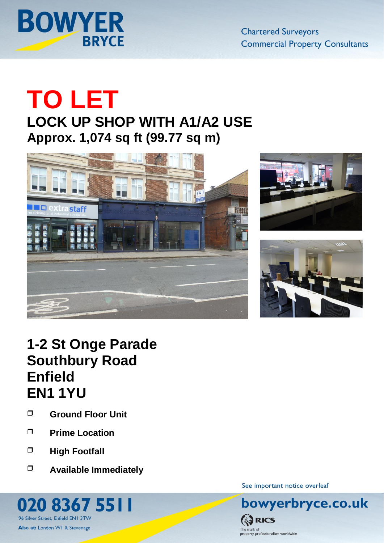

**Chartered Surveyors Commercial Property Consultants** 

# **TO LET**

**LOCK UP SHOP WITH A1/A2 USE Approx. 1,074 sq ft (99.77 sq m)**







# **1-2 St Onge Parade Southbury Road Enfield EN1 1YU**

- **Ground Floor Unit**
- **Prime Location**
- **High Footfall**

96 Silver Street, Enfield EN1 3TW Also at: London W1 & Stevenage

O

**Available Immediately**

20 8367 5511

See important notice overleaf

bowyerbryce.co.uk **ES RICS** The mark of<br>property professionalism worldwide